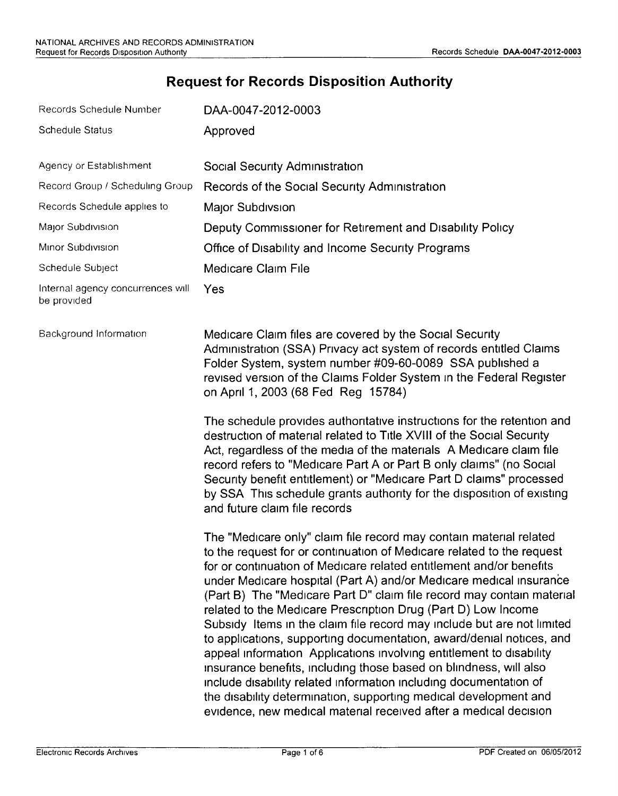# **Request for Records Disposition Authority**

|                  | Records Schedule Number                          | DAA-0047-2012-0003                                                                                                                                                                                                                                                                                                                                                                                                                                                                                                                                                                                                                                                                                                                                                                                                                                                                                                                           |
|------------------|--------------------------------------------------|----------------------------------------------------------------------------------------------------------------------------------------------------------------------------------------------------------------------------------------------------------------------------------------------------------------------------------------------------------------------------------------------------------------------------------------------------------------------------------------------------------------------------------------------------------------------------------------------------------------------------------------------------------------------------------------------------------------------------------------------------------------------------------------------------------------------------------------------------------------------------------------------------------------------------------------------|
|                  | <b>Schedule Status</b>                           | Approved                                                                                                                                                                                                                                                                                                                                                                                                                                                                                                                                                                                                                                                                                                                                                                                                                                                                                                                                     |
|                  |                                                  |                                                                                                                                                                                                                                                                                                                                                                                                                                                                                                                                                                                                                                                                                                                                                                                                                                                                                                                                              |
|                  | Agency or Establishment                          | Social Security Administration                                                                                                                                                                                                                                                                                                                                                                                                                                                                                                                                                                                                                                                                                                                                                                                                                                                                                                               |
|                  | Record Group / Scheduling Group                  | Records of the Social Security Administration                                                                                                                                                                                                                                                                                                                                                                                                                                                                                                                                                                                                                                                                                                                                                                                                                                                                                                |
|                  | Records Schedule applies to                      | Major Subdivsion                                                                                                                                                                                                                                                                                                                                                                                                                                                                                                                                                                                                                                                                                                                                                                                                                                                                                                                             |
|                  | Major Subdivision                                | Deputy Commissioner for Retirement and Disability Policy                                                                                                                                                                                                                                                                                                                                                                                                                                                                                                                                                                                                                                                                                                                                                                                                                                                                                     |
|                  | Minor Subdivision                                | Office of Disability and Income Security Programs                                                                                                                                                                                                                                                                                                                                                                                                                                                                                                                                                                                                                                                                                                                                                                                                                                                                                            |
| Schedule Subject |                                                  | Medicare Claim File                                                                                                                                                                                                                                                                                                                                                                                                                                                                                                                                                                                                                                                                                                                                                                                                                                                                                                                          |
|                  | Internal agency concurrences will<br>be provided | Yes                                                                                                                                                                                                                                                                                                                                                                                                                                                                                                                                                                                                                                                                                                                                                                                                                                                                                                                                          |
|                  | Background Information                           | Medicare Claim files are covered by the Social Security<br>Administration (SSA) Privacy act system of records entitled Claims<br>Folder System, system number #09-60-0089 SSA published a<br>revised version of the Claims Folder System in the Federal Register<br>on April 1, 2003 (68 Fed Reg 15784)                                                                                                                                                                                                                                                                                                                                                                                                                                                                                                                                                                                                                                      |
|                  |                                                  | The schedule provides authoritative instructions for the retention and<br>destruction of material related to Title XVIII of the Social Security<br>Act, regardless of the media of the materials A Medicare claim file<br>record refers to "Medicare Part A or Part B only claims" (no Social<br>Security benefit entitlement) or "Medicare Part D claims" processed<br>by SSA This schedule grants authority for the disposition of existing<br>and future claim file records                                                                                                                                                                                                                                                                                                                                                                                                                                                               |
|                  |                                                  | The "Medicare only" claim file record may contain material related<br>to the request for or continuation of Medicare related to the request<br>for or continuation of Medicare related entitlement and/or benefits<br>under Medicare hospital (Part A) and/or Medicare medical insurance<br>(Part B) The "Medicare Part D" claim file record may contain materia<br>related to the Medicare Prescription Drug (Part D) Low Income<br>Subsidy Items in the claim file record may include but are not limited<br>to applications, supporting documentation, award/denial notices, and<br>appeal information Applications involving entitlement to disability<br>insurance benefits, including those based on blindness, will also<br>include disability related information including documentation of<br>the disability determination, supporting medical development and<br>evidence, new medical material received after a medical decision |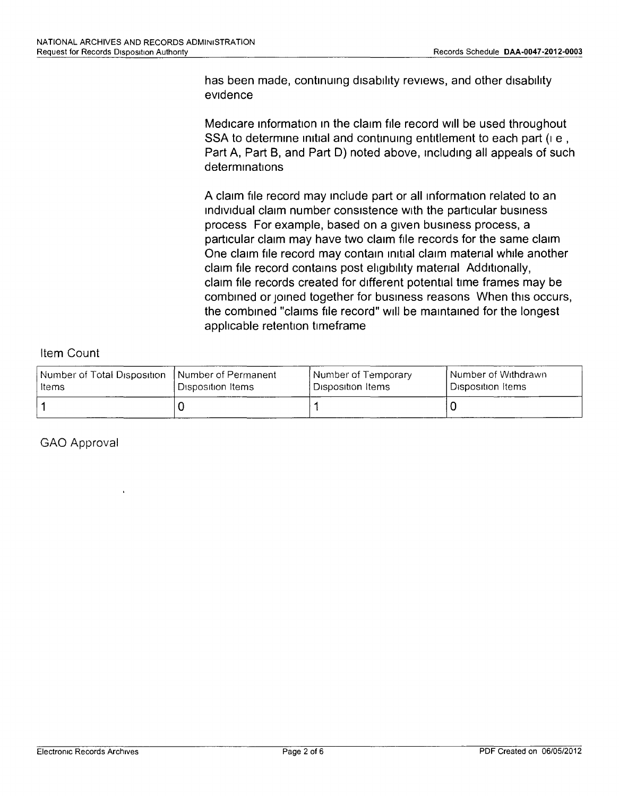has been made, continuing disability reviews, and other disability evidence

Medicare information in the claim file record will be used throughout SSA to determine initial and continuing entitlement to each part (i.e., Part A, Part B, and Part 0) noted above, Including all appeals of such determinations

A claim file record may Include part or all Information related to an Individual claim number consistence With the particular business process For example, based on a given business process, a particular claim may have two claim file records for the same claim One claim file record may contain initial claim material while another claim file record contains post eligibility material Additionally, claim file records created for different potential time frames may be combined or joined together for business reasons When this occurs, the combined "claims file record" Will be maintained for the longest applicable retention timeframe

### Item Count

| Number of Total Disposition. | l Number of Permanent I        | l Number of Temporary      | I Number of Withdrawn |
|------------------------------|--------------------------------|----------------------------|-----------------------|
| Items                        | <sup>i</sup> Disposition Items | <b>I</b> Disposition Items | Disposition Items     |
|                              |                                |                            |                       |

GAO Approval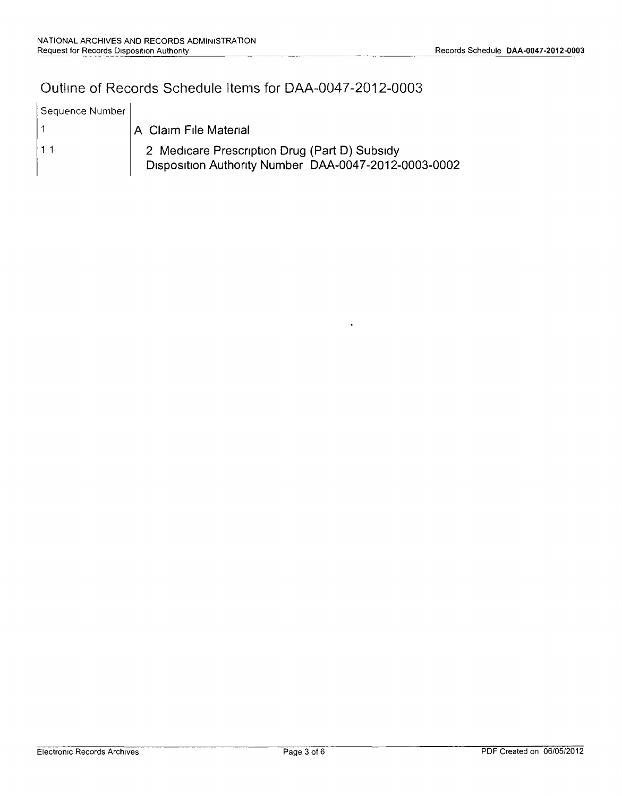## Outline of Records Schedule Items for DAA-0047-2012-0003

| Sequence Number |                                                                                                       |
|-----------------|-------------------------------------------------------------------------------------------------------|
|                 | A Claim File Material                                                                                 |
| 11              | 2 Medicare Prescription Drug (Part D) Subsidy<br>Disposition Authority Number DAA-0047-2012-0003-0002 |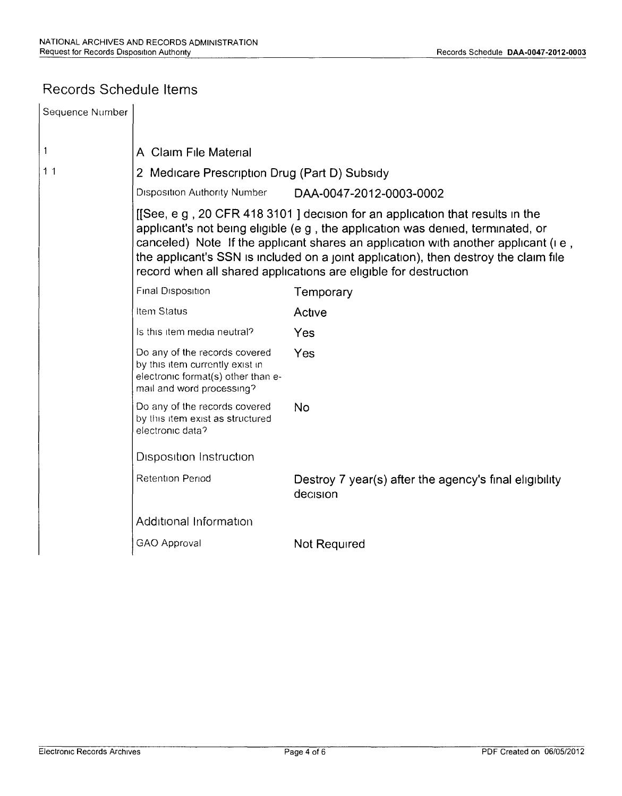### Records Schedule Items

| Sequence Number |                                                                                                                                                                                                                                                                                                                                                                                                                    |                                                                    |  |  |  |  |  |
|-----------------|--------------------------------------------------------------------------------------------------------------------------------------------------------------------------------------------------------------------------------------------------------------------------------------------------------------------------------------------------------------------------------------------------------------------|--------------------------------------------------------------------|--|--|--|--|--|
|                 |                                                                                                                                                                                                                                                                                                                                                                                                                    |                                                                    |  |  |  |  |  |
| 1               | A Claim File Material                                                                                                                                                                                                                                                                                                                                                                                              |                                                                    |  |  |  |  |  |
| 11              | 2 Medicare Prescription Drug (Part D) Subsidy                                                                                                                                                                                                                                                                                                                                                                      |                                                                    |  |  |  |  |  |
|                 | <b>Disposition Authority Number</b><br>DAA-0047-2012-0003-0002                                                                                                                                                                                                                                                                                                                                                     |                                                                    |  |  |  |  |  |
|                 | [[See, e g, 20 CFR 418 3101] decision for an application that results in the<br>applicant's not being eligible (e g, the application was denied, terminated, or<br>canceled) Note If the applicant shares an application with another applicant (i.e.,<br>the applicant's SSN is included on a joint application), then destroy the claim file<br>record when all shared applications are eligible for destruction |                                                                    |  |  |  |  |  |
|                 | Final Disposition                                                                                                                                                                                                                                                                                                                                                                                                  | Temporary                                                          |  |  |  |  |  |
|                 | Item Status                                                                                                                                                                                                                                                                                                                                                                                                        | Active                                                             |  |  |  |  |  |
|                 | Is this item media neutral?                                                                                                                                                                                                                                                                                                                                                                                        | Yes                                                                |  |  |  |  |  |
|                 | Do any of the records covered<br>by this item currently exist in<br>electronic format(s) other than e-<br>mail and word processing?                                                                                                                                                                                                                                                                                | Yes                                                                |  |  |  |  |  |
|                 | Do any of the records covered<br>by this item exist as structured<br>electronic data?                                                                                                                                                                                                                                                                                                                              | No                                                                 |  |  |  |  |  |
|                 | <b>Disposition Instruction</b>                                                                                                                                                                                                                                                                                                                                                                                     |                                                                    |  |  |  |  |  |
|                 | <b>Retention Period</b>                                                                                                                                                                                                                                                                                                                                                                                            | Destroy 7 year(s) after the agency's final eligibility<br>decision |  |  |  |  |  |
|                 | Additional Information                                                                                                                                                                                                                                                                                                                                                                                             |                                                                    |  |  |  |  |  |
|                 | GAO Approval                                                                                                                                                                                                                                                                                                                                                                                                       | Not Required                                                       |  |  |  |  |  |